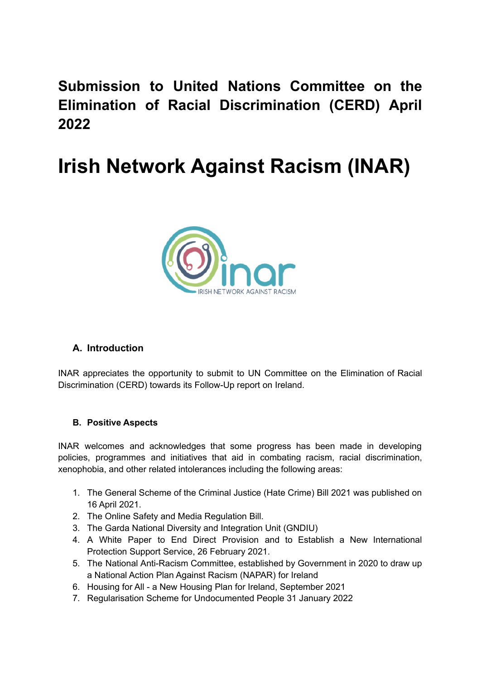**Submission to United Nations Committee on the Elimination of Racial Discrimination (CERD) April 2022**

# **Irish Network Against Racism (INAR)**



# **A. Introduction**

INAR appreciates the opportunity to submit to UN Committee on the Elimination of Racial Discrimination (CERD) towards its Follow-Up report on Ireland.

# **B. Positive Aspects**

INAR welcomes and acknowledges that some progress has been made in developing policies, programmes and initiatives that aid in combating racism, racial discrimination, xenophobia, and other related intolerances including the following areas:

- 1. The General Scheme of the Criminal Justice (Hate Crime) Bill 2021 was published on 16 April 2021.
- 2. The Online Safety and Media Regulation Bill.
- 3. The Garda National Diversity and Integration Unit (GNDIU)
- 4. A White Paper to End Direct Provision and to Establish a New International Protection Support Service, 26 February 2021.
- 5. The National Anti-Racism Committee, established by Government in 2020 to draw up a National Action Plan Against Racism (NAPAR) for Ireland
- 6. Housing for All a New Housing Plan for Ireland, September 2021
- 7. Regularisation Scheme for Undocumented People 31 January 2022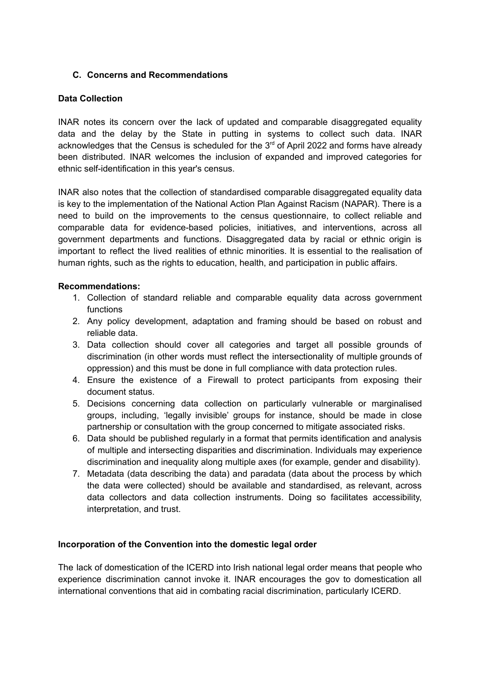## **C. Concerns and Recommendations**

## **Data Collection**

INAR notes its concern over the lack of updated and comparable disaggregated equality data and the delay by the State in putting in systems to collect such data. INAR acknowledges that the Census is scheduled for the  $3<sup>rd</sup>$  of April 2022 and forms have already been distributed. INAR welcomes the inclusion of expanded and improved categories for ethnic self-identification in this year's census.

INAR also notes that the collection of standardised comparable disaggregated equality data is key to the implementation of the National Action Plan Against Racism (NAPAR). There is a need to build on the improvements to the census questionnaire, to collect reliable and comparable data for evidence-based policies, initiatives, and interventions, across all government departments and functions. Disaggregated data by racial or ethnic origin is important to reflect the lived realities of ethnic minorities. It is essential to the realisation of human rights, such as the rights to education, health, and participation in public affairs.

## **Recommendations:**

- 1. Collection of standard reliable and comparable equality data across government functions
- 2. Any policy development, adaptation and framing should be based on robust and reliable data.
- 3. Data collection should cover all categories and target all possible grounds of discrimination (in other words must reflect the intersectionality of multiple grounds of oppression) and this must be done in full compliance with data protection rules.
- 4. Ensure the existence of a Firewall to protect participants from exposing their document status.
- 5. Decisions concerning data collection on particularly vulnerable or marginalised groups, including, 'legally invisible' groups for instance, should be made in close partnership or consultation with the group concerned to mitigate associated risks.
- 6. Data should be published regularly in a format that permits identification and analysis of multiple and intersecting disparities and discrimination. Individuals may experience discrimination and inequality along multiple axes (for example, gender and disability).
- 7. Metadata (data describing the data) and paradata (data about the process by which the data were collected) should be available and standardised, as relevant, across data collectors and data collection instruments. Doing so facilitates accessibility, interpretation, and trust.

#### **Incorporation of the Convention into the domestic legal order**

The lack of domestication of the ICERD into Irish national legal order means that people who experience discrimination cannot invoke it. INAR encourages the gov to domestication all international conventions that aid in combating racial discrimination, particularly ICERD.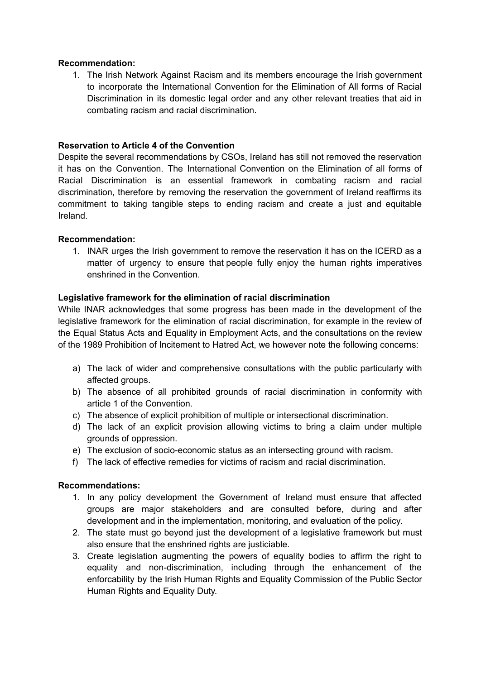#### **Recommendation:**

1. The Irish Network Against Racism and its members encourage the Irish government to incorporate the International Convention for the Elimination of All forms of Racial Discrimination in its domestic legal order and any other relevant treaties that aid in combating racism and racial discrimination.

#### **Reservation to Article 4 of the Convention**

Despite the several recommendations by CSOs, Ireland has still not removed the reservation it has on the Convention. The International Convention on the Elimination of all forms of Racial Discrimination is an essential framework in combating racism and racial discrimination, therefore by removing the reservation the government of Ireland reaffirms its commitment to taking tangible steps to ending racism and create a just and equitable Ireland.

## **Recommendation:**

1. INAR urges the Irish government to remove the reservation it has on the ICERD as a matter of urgency to ensure that people fully enjoy the human rights imperatives enshrined in the Convention.

#### **Legislative framework for the elimination of racial discrimination**

While INAR acknowledges that some progress has been made in the development of the legislative framework for the elimination of racial discrimination, for example in the review of the Equal Status Acts and Equality in Employment Acts, and the consultations on the review of the 1989 Prohibition of Incitement to Hatred Act, we however note the following concerns:

- a) The lack of wider and comprehensive consultations with the public particularly with affected groups.
- b) The absence of all prohibited grounds of racial discrimination in conformity with article 1 of the Convention.
- c) The absence of explicit prohibition of multiple or intersectional discrimination.
- d) The lack of an explicit provision allowing victims to bring a claim under multiple grounds of oppression.
- e) The exclusion of socio-economic status as an intersecting ground with racism.
- f) The lack of effective remedies for victims of racism and racial discrimination.

#### **Recommendations:**

- 1. In any policy development the Government of Ireland must ensure that affected groups are major stakeholders and are consulted before, during and after development and in the implementation, monitoring, and evaluation of the policy.
- 2. The state must go beyond just the development of a legislative framework but must also ensure that the enshrined rights are justiciable.
- 3. Create legislation augmenting the powers of equality bodies to affirm the right to equality and non-discrimination, including through the enhancement of the enforcability by the Irish Human Rights and Equality Commission of the Public Sector Human Rights and Equality Duty.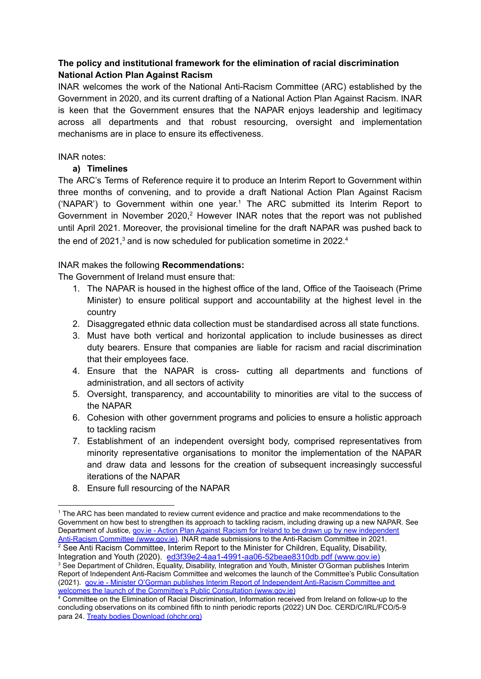# **The policy and institutional framework for the elimination of racial discrimination National Action Plan Against Racism**

INAR welcomes the work of the National Anti-Racism Committee (ARC) established by the Government in 2020, and its current drafting of a National Action Plan Against Racism. INAR is keen that the Government ensures that the NAPAR enjoys leadership and legitimacy across all departments and that robust resourcing, oversight and implementation mechanisms are in place to ensure its effectiveness.

## INAR notes:

## **a) Timelines**

The ARC's Terms of Reference require it to produce an Interim Report to Government within three months of convening, and to provide a draft National Action Plan Against Racism ('NAPAR') to Government within one year. <sup>1</sup> The ARC submitted its Interim Report to Government in November 2020,<sup>2</sup> However INAR notes that the report was not published until April 2021. Moreover, the provisional timeline for the draft NAPAR was pushed back to the end of 2021,<sup>3</sup> and is now scheduled for publication sometime in 2022.<sup>4</sup>

# INAR makes the following **Recommendations:**

The Government of Ireland must ensure that:

- 1. The NAPAR is housed in the highest office of the land, Office of the Taoiseach (Prime Minister) to ensure political support and accountability at the highest level in the country
- 2. Disaggregated ethnic data collection must be standardised across all state functions.
- 3. Must have both vertical and horizontal application to include businesses as direct duty bearers. Ensure that companies are liable for racism and racial discrimination that their employees face.
- 4. Ensure that the NAPAR is cross- cutting all departments and functions of administration, and all sectors of activity
- 5. Oversight, transparency, and accountability to minorities are vital to the success of the NAPAR
- 6. Cohesion with other government programs and policies to ensure a holistic approach to tackling racism
- 7. Establishment of an independent oversight body, comprised representatives from minority representative organisations to monitor the implementation of the NAPAR and draw data and lessons for the creation of subsequent increasingly successful iterations of the NAPAR
- 8. Ensure full resourcing of the NAPAR

 $2$  See Anti Racism Committee, Interim Report to the Minister for Children, Equality, Disability, Integration and Youth (2020). [ed3f39e2-4aa1-4991-aa06-52beae8310db.pdf](https://www.gov.ie/pdf/?file=https://assets.gov.ie/132151/ed3f39e2-4aa1-4991-aa06-52beae8310db.pdf#page=null) (www.gov.ie)

<sup>3</sup> See Department of Children, Equality, Disability, Integration and Youth, Minister O'Gorman publishes Interim Report of Independent Anti-Racism Committee and welcomes the launch of the Committee's Public Consultation (2021). gov.ie - Minister O'Gorman publishes Interim [Report of Independent Anti-Racism Committee and](https://www.gov.ie/en/press-release/c9325-minister-ogorman-publishes-interim-report-of-independent-anti-racism-committee-and-welcomes-the-launch-of-the-committees-public-consultation/) [welcomes the launch of the Committee's Public Consultation \(www.gov.ie\)](https://www.gov.ie/en/press-release/c9325-minister-ogorman-publishes-interim-report-of-independent-anti-racism-committee-and-welcomes-the-launch-of-the-committees-public-consultation/)

<sup>1</sup> The ARC has been mandated to review current evidence and practice and make recommendations to the Government on how best to strengthen its approach to tackling racism, including drawing up a new NAPAR. See Department of Justice, gov.ie - Action Plan Against [Racism for Ireland to be drawn up by new independent](https://www.gov.ie/en/press-release/6bedb-action-plan-against-racism-for-ireland-to-be-drawn-up-by-new-independent-anti-racism-committee/) [Anti-Racism Committee \(www.gov.ie\).](https://www.gov.ie/en/press-release/6bedb-action-plan-against-racism-for-ireland-to-be-drawn-up-by-new-independent-anti-racism-committee/) INAR made submissions to the Anti-Racism Committee in 2021.

<sup>4</sup> Committee on the Elimination of Racial Discrimination, Information received from Ireland on follow-up to the concluding observations on its combined fifth to ninth periodic reports (2022) UN Doc. CERD/C/IRL/FCO/5-9 para 24. [Treaty bodies Download \(ohchr.org\)](https://tbinternet.ohchr.org/_layouts/15/treatybodyexternal/Download.aspx?symbolno=CERD%2fC%2fIRL%2fFCO%2f5-9&Lang=en)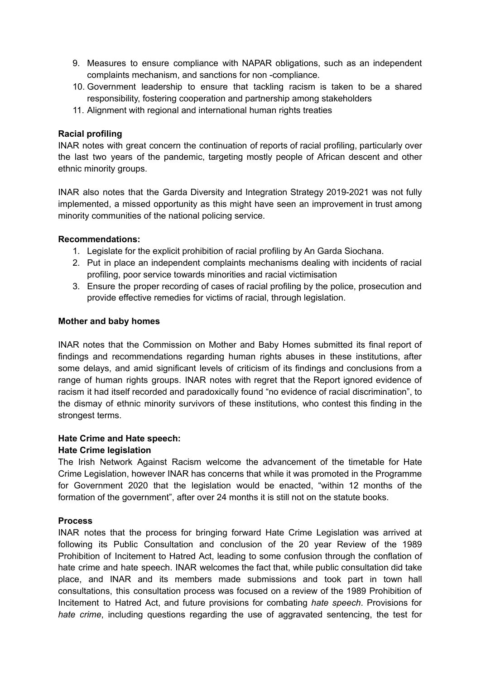- 9. Measures to ensure compliance with NAPAR obligations, such as an independent complaints mechanism, and sanctions for non -compliance.
- 10. Government leadership to ensure that tackling racism is taken to be a shared responsibility, fostering cooperation and partnership among stakeholders
- 11. Alignment with regional and international human rights treaties

## **Racial profiling**

INAR notes with great concern the continuation of reports of racial profiling, particularly over the last two years of the pandemic, targeting mostly people of African descent and other ethnic minority groups.

INAR also notes that the Garda Diversity and Integration Strategy 2019-2021 was not fully implemented, a missed opportunity as this might have seen an improvement in trust among minority communities of the national policing service.

## **Recommendations:**

- 1. Legislate for the explicit prohibition of racial profiling by An Garda Siochana.
- 2. Put in place an independent complaints mechanisms dealing with incidents of racial profiling, poor service towards minorities and racial victimisation
- 3. Ensure the proper recording of cases of racial profiling by the police, prosecution and provide effective remedies for victims of racial, through legislation.

#### **Mother and baby homes**

INAR notes that the Commission on Mother and Baby Homes submitted its final report of findings and recommendations regarding human rights abuses in these institutions, after some delays, and amid significant levels of criticism of its findings and conclusions from a range of human rights groups. INAR notes with regret that the Report ignored evidence of racism it had itself recorded and paradoxically found "no evidence of racial discrimination", to the dismay of ethnic minority survivors of these institutions, who contest this finding in the strongest terms.

#### **Hate Crime and Hate speech:**

#### **Hate Crime legislation**

The Irish Network Against Racism welcome the advancement of the timetable for Hate Crime Legislation, however INAR has concerns that while it was promoted in the Programme for Government 2020 that the legislation would be enacted, "within 12 months of the formation of the government", after over 24 months it is still not on the statute books.

#### **Process**

INAR notes that the process for bringing forward Hate Crime Legislation was arrived at following its Public Consultation and conclusion of the 20 year Review of the 1989 Prohibition of Incitement to Hatred Act, leading to some confusion through the conflation of hate crime and hate speech. INAR welcomes the fact that, while public consultation did take place, and INAR and its members made submissions and took part in town hall consultations, this consultation process was focused on a review of the 1989 Prohibition of Incitement to Hatred Act, and future provisions for combating *hate speech*. Provisions for *hate crime*, including questions regarding the use of aggravated sentencing, the test for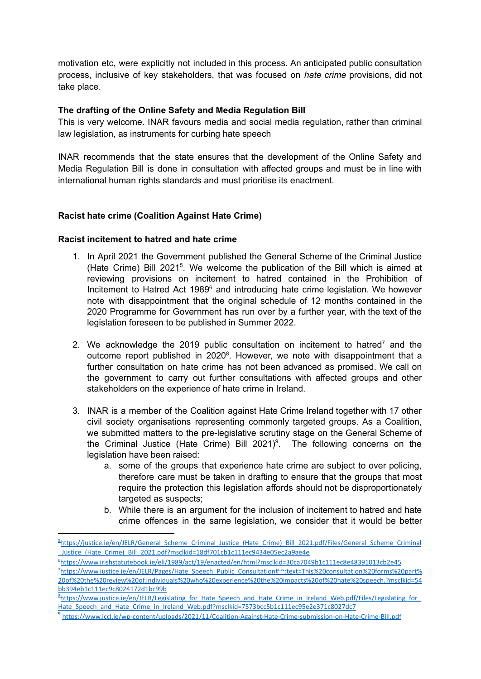motivation etc, were explicitly not included in this process. An anticipated public consultation process, inclusive of key stakeholders, that was focused on *hate crime* provisions, did not take place.

#### **The drafting of the Online Safety and Media Regulation Bill**

This is very welcome. INAR favours media and social media regulation, rather than criminal law legislation, as instruments for curbing hate speech

INAR recommends that the state ensures that the development of the Online Safety and Media Regulation Bill is done in consultation with affected groups and must be in line with international human rights standards and must prioritise its enactment.

## **Racist hate crime (Coalition Against Hate Crime)**

#### **Racist incitement to hatred and hate crime**

- 1. In April 2021 the Government published the General Scheme of the Criminal Justice (Hate Crime) Bill 2021 5 . We welcome the publication of the Bill which is aimed at reviewing provisions on incitement to hatred contained in the Prohibition of Incitement to Hatred Act 1989<sup>6</sup> and introducing hate crime legislation. We however note with disappointment that the original schedule of 12 months contained in the 2020 Programme for Government has run over by a further year, with the text of the legislation foreseen to be published in Summer 2022.
- 2. We acknowledge the 2019 public consultation on incitement to hatred<sup>7</sup> and the outcome report published in 2020<sup>8</sup>. However, we note with disappointment that a further consultation on hate crime has not been advanced as promised. We call on the government to carry out further consultations with affected groups and other stakeholders on the experience of hate crime in Ireland.
- 3. INAR is a member of the Coalition against Hate Crime Ireland together with 17 other civil society organisations representing commonly targeted groups. As a Coalition, we submitted matters to the pre-legislative scrutiny stage on the General Scheme of the Criminal Justice (Hate Crime) Bill  $2021$ <sup>9</sup>. The following concerns on the legislation have been raised:
	- a. some of the groups that experience hate crime are subject to over policing, therefore care must be taken in drafting to ensure that the groups that most require the protection this legislation affords should not be disproportionately targeted as suspects;
	- b. While there is an argument for the inclusion of incitement to hatred and hate crime offences in the same legislation, we consider that it would be better

<sup>&</sup>lt;sup>5</sup>https://justice.ie/en/JELR/General Scheme\_Criminal\_Justice\_(Hate\_Crime)\_Bill\_2021.pdf/Files/General\_Scheme\_Criminal [\\_Justice\\_\(Hate\\_Crime\)\\_Bill\\_2021.pdf?msclkid=18df701cb1c111ec9434e05ec2a9ae4e](https://justice.ie/en/JELR/General_Scheme_Criminal_Justice_(Hate_Crime)_Bill_2021.pdf/Files/General_Scheme_Criminal_Justice_(Hate_Crime)_Bill_2021.pdf?msclkid=18df701cb1c111ec9434e05ec2a9ae4e)

<sup>6</sup><https://www.irishstatutebook.ie/eli/1989/act/19/enacted/en/html?msclkid=30ca7049b1c111ec8e48391013cb2e45>

<sup>&</sup>lt;sup>2</sup>[https://www.justice.ie/en/JELR/Pages/Hate\\_Speech\\_Public\\_Consultation#:~:text=This%20consultation%20forms%20part%](https://www.justice.ie/en/JELR/Pages/Hate_Speech_Public_Consultation#:~:text=This%20consultation%20forms%20part%20of%20the%20review%20of,individuals%20who%20experience%20the%20impacts%20of%20hate%20speech.?msclkid=54bb394eb1c111ec9c8024172d1bc99b) [20of%20the%20review%20of,individuals%20who%20experience%20the%20impacts%20of%20hate%20speech.?msclkid=54](https://www.justice.ie/en/JELR/Pages/Hate_Speech_Public_Consultation#:~:text=This%20consultation%20forms%20part%20of%20the%20review%20of,individuals%20who%20experience%20the%20impacts%20of%20hate%20speech.?msclkid=54bb394eb1c111ec9c8024172d1bc99b) [bb394eb1c111ec9c8024172d1bc99b](https://www.justice.ie/en/JELR/Pages/Hate_Speech_Public_Consultation#:~:text=This%20consultation%20forms%20part%20of%20the%20review%20of,individuals%20who%20experience%20the%20impacts%20of%20hate%20speech.?msclkid=54bb394eb1c111ec9c8024172d1bc99b)

<sup>&</sup>lt;sup>8</sup>https://www.justice.ie/en/JELR/Legislating for Hate Speech and Hate Crime in Ireland Web.pdf/Files/Legislating for Hate Speech and Hate Crime in Ireland Web.pdf?msclkid=7573bcc5b1c111ec95e2e371c8027dc7

<sup>9</sup> <https://www.iccl.ie/wp-content/uploads/2021/11/Coalition-Against-Hate-Crime-submission-on-Hate-Crime-Bill.pdf>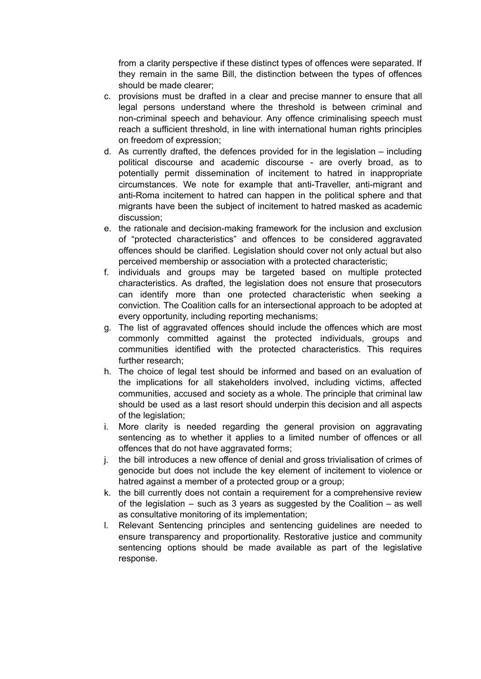from a clarity perspective if these distinct types of offences were separated. If they remain in the same Bill, the distinction between the types of offences should be made clearer;

- c. provisions must be drafted in a clear and precise manner to ensure that all legal persons understand where the threshold is between criminal and non-criminal speech and behaviour. Any offence criminalising speech must reach a sufficient threshold, in line with international human rights principles on freedom of expression;
- d. As currently drafted, the defences provided for in the legislation including political discourse and academic discourse - are overly broad, as to potentially permit dissemination of incitement to hatred in inappropriate circumstances. We note for example that anti-Traveller, anti-migrant and anti-Roma incitement to hatred can happen in the political sphere and that migrants have been the subject of incitement to hatred masked as academic discussion;
- e. the rationale and decision-making framework for the inclusion and exclusion of "protected characteristics" and offences to be considered aggravated offences should be clarified. Legislation should cover not only actual but also perceived membership or association with a protected characteristic;
- f. individuals and groups may be targeted based on multiple protected characteristics. As drafted, the legislation does not ensure that prosecutors can identify more than one protected characteristic when seeking a conviction. The Coalition calls for an intersectional approach to be adopted at every opportunity, including reporting mechanisms;
- g. The list of aggravated offences should include the offences which are most commonly committed against the protected individuals, groups and communities identified with the protected characteristics. This requires further research:
- h. The choice of legal test should be informed and based on an evaluation of the implications for all stakeholders involved, including victims, affected communities, accused and society as a whole. The principle that criminal law should be used as a last resort should underpin this decision and all aspects of the legislation:
- i. More clarity is needed regarding the general provision on aggravating sentencing as to whether it applies to a limited number of offences or all offences that do not have aggravated forms;
- j. the bill introduces a new offence of denial and gross trivialisation of crimes of genocide but does not include the key element of incitement to violence or hatred against a member of a protected group or a group;
- k. the bill currently does not contain a requirement for a comprehensive review of the legislation – such as 3 years as suggested by the Coalition – as well as consultative monitoring of its implementation;
- l. Relevant Sentencing principles and sentencing guidelines are needed to ensure transparency and proportionality. Restorative justice and community sentencing options should be made available as part of the legislative response.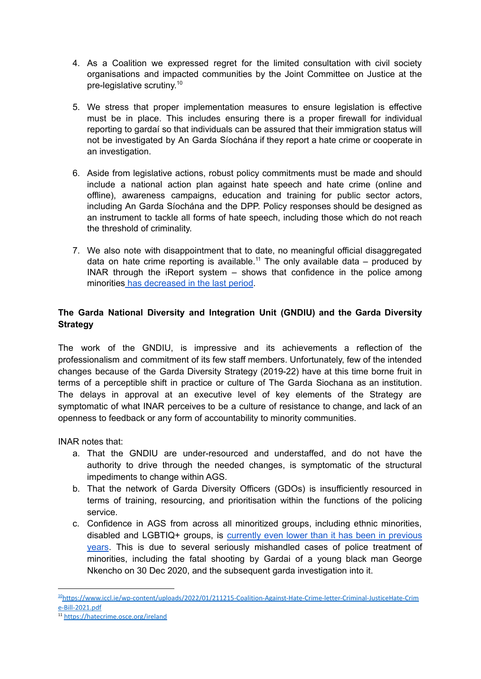- 4. As a Coalition we expressed regret for the limited consultation with civil society organisations and impacted communities by the Joint Committee on Justice at the pre-legislative scrutiny. 10
- 5. We stress that proper implementation measures to ensure legislation is effective must be in place. This includes ensuring there is a proper firewall for individual reporting to gardaí so that individuals can be assured that their immigration status will not be investigated by An Garda Síochána if they report a hate crime or cooperate in an investigation.
- 6. Aside from legislative actions, robust policy commitments must be made and should include a national action plan against hate speech and hate crime (online and offline), awareness campaigns, education and training for public sector actors, including An Garda Síochána and the DPP. Policy responses should be designed as an instrument to tackle all forms of hate speech, including those which do not reach the threshold of criminality.
- 7. We also note with disappointment that to date, no meaningful official disaggregated data on hate crime reporting is available.<sup>11</sup> The only available data  $-$  produced by INAR through the iReport system – shows that confidence in the police among minorities has [decreased](https://inar.ie/2021-reports-of-racism/) in the last period.

# **The Garda National Diversity and Integration Unit (GNDIU) and the Garda Diversity Strategy**

The work of the GNDIU, is impressive and its achievements a reflection of the professionalism and commitment of its few staff members. Unfortunately, few of the intended changes because of the Garda Diversity Strategy (2019-22) have at this time borne fruit in terms of a perceptible shift in practice or culture of The Garda Siochana as an institution. The delays in approval at an executive level of key elements of the Strategy are symptomatic of what INAR perceives to be a culture of resistance to change, and lack of an openness to feedback or any form of accountability to minority communities.

INAR notes that:

- a. That the GNDIU are under-resourced and understaffed, and do not have the authority to drive through the needed changes, is symptomatic of the structural impediments to change within AGS.
- b. That the network of Garda Diversity Officers (GDOs) is insufficiently resourced in terms of training, resourcing, and prioritisation within the functions of the policing service.
- c. Confidence in AGS from across all minoritized groups, including ethnic minorities, disabled and LGBTIQ+ groups, is [currently](https://inar.ie/2021-reports-of-racism/) even lower than it has been in previous [years.](https://inar.ie/2021-reports-of-racism/) This is due to several seriously mishandled cases of police treatment of minorities, including the fatal shooting by Gardai of a young black man George Nkencho on 30 Dec 2020, and the subsequent garda investigation into it.

<sup>10</sup>[https://www.iccl.ie/wp-content/uploads/2022/01/211215-Coalition-Against-Hate-Crime-letter-Criminal-JusticeHate-Crim](https://www.iccl.ie/wp-content/uploads/2022/01/211215-Coalition-Against-Hate-Crime-letter-Criminal-JusticeHate-Crime-Bill-2021.pdf) [e-Bill-2021.pdf](https://www.iccl.ie/wp-content/uploads/2022/01/211215-Coalition-Against-Hate-Crime-letter-Criminal-JusticeHate-Crime-Bill-2021.pdf)

<sup>&</sup>lt;sup>11</sup> <https://hatecrime.osce.org/ireland>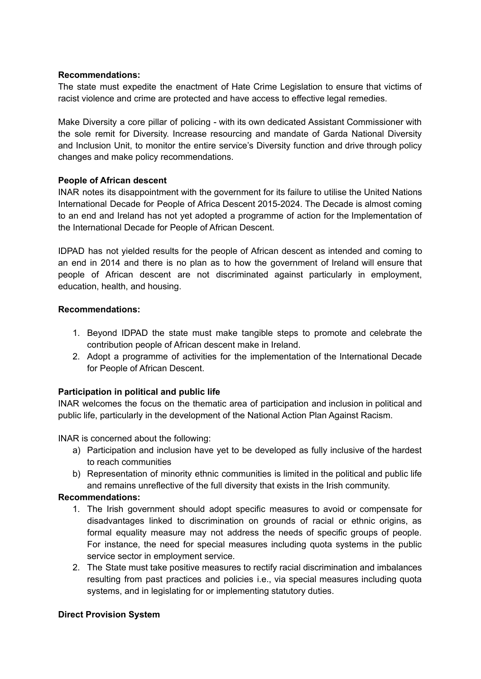#### **Recommendations:**

The state must expedite the enactment of Hate Crime Legislation to ensure that victims of racist violence and crime are protected and have access to effective legal remedies.

Make Diversity a core pillar of policing - with its own dedicated Assistant Commissioner with the sole remit for Diversity. Increase resourcing and mandate of Garda National Diversity and Inclusion Unit, to monitor the entire service's Diversity function and drive through policy changes and make policy recommendations.

# **People of African descent**

INAR notes its disappointment with the government for its failure to utilise the United Nations International Decade for People of Africa Descent 2015-2024. The Decade is almost coming to an end and Ireland has not yet adopted a programme of action for the Implementation of the International Decade for People of African Descent.

IDPAD has not yielded results for the people of African descent as intended and coming to an end in 2014 and there is no plan as to how the government of Ireland will ensure that people of African descent are not discriminated against particularly in employment, education, health, and housing.

## **Recommendations:**

- 1. Beyond IDPAD the state must make tangible steps to promote and celebrate the contribution people of African descent make in Ireland.
- 2. Adopt a programme of activities for the implementation of the International Decade for People of African Descent.

# **Participation in political and public life**

INAR welcomes the focus on the thematic area of participation and inclusion in political and public life, particularly in the development of the National Action Plan Against Racism.

INAR is concerned about the following:

- a) Participation and inclusion have yet to be developed as fully inclusive of the hardest to reach communities
- b) Representation of minority ethnic communities is limited in the political and public life and remains unreflective of the full diversity that exists in the Irish community.

#### **Recommendations:**

- 1. The Irish government should adopt specific measures to avoid or compensate for disadvantages linked to discrimination on grounds of racial or ethnic origins, as formal equality measure may not address the needs of specific groups of people. For instance, the need for special measures including quota systems in the public service sector in employment service.
- 2. The State must take positive measures to rectify racial discrimination and imbalances resulting from past practices and policies i.e., via special measures including quota systems, and in legislating for or implementing statutory duties.

# **Direct Provision System**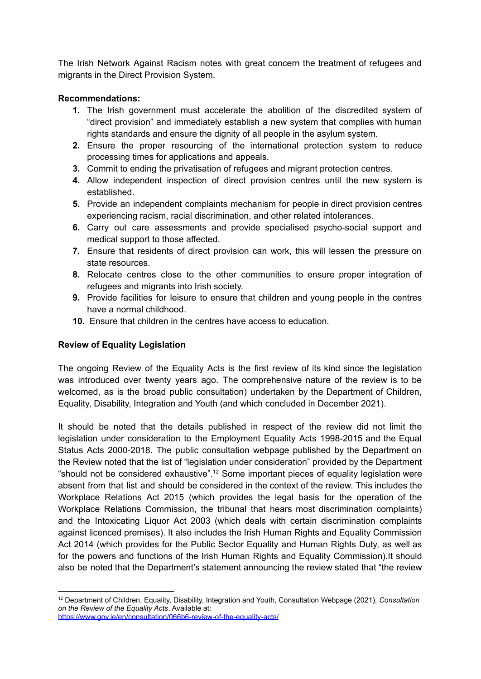The Irish Network Against Racism notes with great concern the treatment of refugees and migrants in the Direct Provision System.

## **Recommendations:**

- **1.** The Irish government must accelerate the abolition of the discredited system of "direct provision" and immediately establish a new system that complies with human rights standards and ensure the dignity of all people in the asylum system.
- **2.** Ensure the proper resourcing of the international protection system to reduce processing times for applications and appeals.
- **3.** Commit to ending the privatisation of refugees and migrant protection centres.
- **4.** Allow independent inspection of direct provision centres until the new system is established.
- **5.** Provide an independent complaints mechanism for people in direct provision centres experiencing racism, racial discrimination, and other related intolerances.
- **6.** Carry out care assessments and provide specialised psycho-social support and medical support to those affected.
- **7.** Ensure that residents of direct provision can work, this will lessen the pressure on state resources.
- **8.** Relocate centres close to the other communities to ensure proper integration of refugees and migrants into Irish society.
- **9.** Provide facilities for leisure to ensure that children and young people in the centres have a normal childhood.
- **10.** Ensure that children in the centres have access to education.

# **Review of Equality Legislation**

The ongoing Review of the Equality Acts is the first review of its kind since the legislation was introduced over twenty years ago. The comprehensive nature of the review is to be welcomed, as is the broad public consultation) undertaken by the Department of Children, Equality, Disability, Integration and Youth (and which concluded in December 2021).

It should be noted that the details published in respect of the review did not limit the legislation under consideration to the Employment Equality Acts 1998-2015 and the Equal Status Acts 2000-2018. The public consultation webpage published by the Department on the Review noted that the list of "legislation under consideration" provided by the Department "should not be considered exhaustive".<sup>12</sup> Some important pieces of equality legislation were absent from that list and should be considered in the context of the review. This includes the Workplace Relations Act 2015 (which provides the legal basis for the operation of the Workplace Relations Commission, the tribunal that hears most discrimination complaints) and the Intoxicating Liquor Act 2003 (which deals with certain discrimination complaints against licenced premises). It also includes the Irish Human Rights and Equality Commission Act 2014 (which provides for the Public Sector Equality and Human Rights Duty, as well as for the powers and functions of the Irish Human Rights and Equality Commission).It should also be noted that the Department's statement announcing the review stated that "the review

<sup>12</sup> Department of Children, Equality, Disability, Integration and Youth, Consultation Webpage (2021), *Consultation on the Review of the Equality Acts*. Available at: <https://www.gov.ie/en/consultation/066b6-review-of-the-equality-acts/>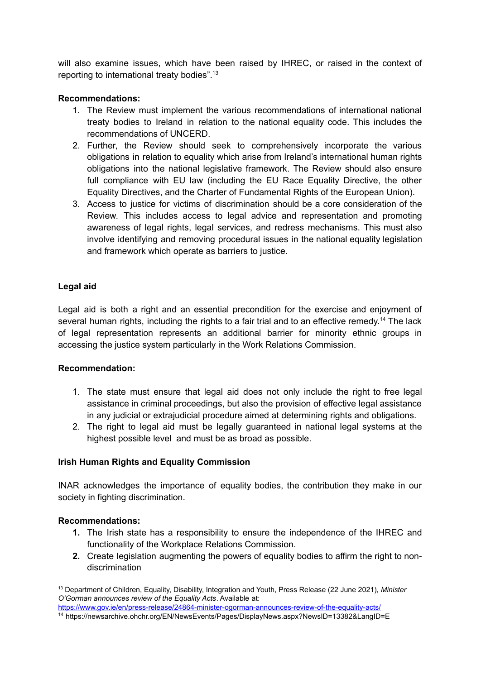will also examine issues, which have been raised by IHREC, or raised in the context of reporting to international treaty bodies". 13

## **Recommendations:**

- 1. The Review must implement the various recommendations of international national treaty bodies to Ireland in relation to the national equality code. This includes the recommendations of UNCERD.
- 2. Further, the Review should seek to comprehensively incorporate the various obligations in relation to equality which arise from Ireland's international human rights obligations into the national legislative framework. The Review should also ensure full compliance with EU law (including the EU Race Equality Directive, the other Equality Directives, and the Charter of Fundamental Rights of the European Union).
- 3. Access to justice for victims of discrimination should be a core consideration of the Review. This includes access to legal advice and representation and promoting awareness of legal rights, legal services, and redress mechanisms. This must also involve identifying and removing procedural issues in the national equality legislation and framework which operate as barriers to justice.

# **Legal aid**

Legal aid is both a right and an essential precondition for the exercise and enjoyment of several human rights, including the rights to a fair trial and to an effective remedy.<sup>14</sup> The lack of legal representation represents an additional barrier for minority ethnic groups in accessing the justice system particularly in the Work Relations Commission.

# **Recommendation:**

- 1. The state must ensure that legal aid does not only include the right to free legal assistance in criminal proceedings, but also the provision of effective legal assistance in any judicial or extrajudicial procedure aimed at determining rights and obligations.
- 2. The right to legal aid must be legally guaranteed in national legal systems at the highest possible level and must be as broad as possible.

# **Irish Human Rights and Equality Commission**

INAR acknowledges the importance of equality bodies, the contribution they make in our society in fighting discrimination.

#### **Recommendations:**

- **1.** The Irish state has a responsibility to ensure the independence of the IHREC and functionality of the Workplace Relations Commission.
- **2.** Create legislation augmenting the powers of equality bodies to affirm the right to nondiscrimination

<sup>13</sup> Department of Children, Equality, Disability, Integration and Youth, Press Release (22 June 2021), *Minister O'Gorman announces review of the Equality Acts*. Available at:

<https://www.gov.ie/en/press-release/24864-minister-ogorman-announces-review-of-the-equality-acts/>

<sup>14</sup> https://newsarchive.ohchr.org/EN/NewsEvents/Pages/DisplayNews.aspx?NewsID=13382&LangID=E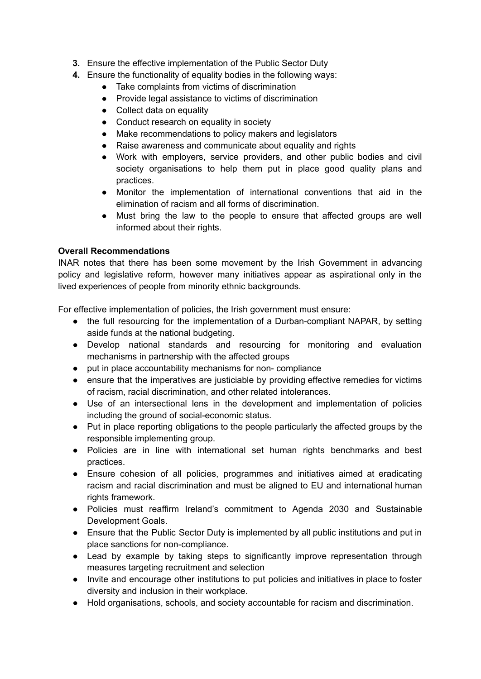- **3.** Ensure the effective implementation of the Public Sector Duty
- **4.** Ensure the functionality of equality bodies in the following ways:
	- Take complaints from victims of discrimination
	- Provide legal assistance to victims of discrimination
	- Collect data on equality
	- Conduct research on equality in society
	- Make recommendations to policy makers and legislators
	- Raise awareness and communicate about equality and rights
	- Work with employers, service providers, and other public bodies and civil society organisations to help them put in place good quality plans and practices.
	- Monitor the implementation of international conventions that aid in the elimination of racism and all forms of discrimination.
	- Must bring the law to the people to ensure that affected groups are well informed about their rights.

# **Overall Recommendations**

INAR notes that there has been some movement by the Irish Government in advancing policy and legislative reform, however many initiatives appear as aspirational only in the lived experiences of people from minority ethnic backgrounds.

For effective implementation of policies, the Irish government must ensure:

- the full resourcing for the implementation of a Durban-compliant NAPAR, by setting aside funds at the national budgeting.
- Develop national standards and resourcing for monitoring and evaluation mechanisms in partnership with the affected groups
- put in place accountability mechanisms for non- compliance
- ensure that the imperatives are justiciable by providing effective remedies for victims of racism, racial discrimination, and other related intolerances.
- Use of an intersectional lens in the development and implementation of policies including the ground of social-economic status.
- Put in place reporting obligations to the people particularly the affected groups by the responsible implementing group.
- Policies are in line with international set human rights benchmarks and best practices.
- Ensure cohesion of all policies, programmes and initiatives aimed at eradicating racism and racial discrimination and must be aligned to EU and international human rights framework.
- Policies must reaffirm Ireland's commitment to Agenda 2030 and Sustainable Development Goals.
- Ensure that the Public Sector Duty is implemented by all public institutions and put in place sanctions for non-compliance.
- Lead by example by taking steps to significantly improve representation through measures targeting recruitment and selection
- Invite and encourage other institutions to put policies and initiatives in place to foster diversity and inclusion in their workplace.
- Hold organisations, schools, and society accountable for racism and discrimination.